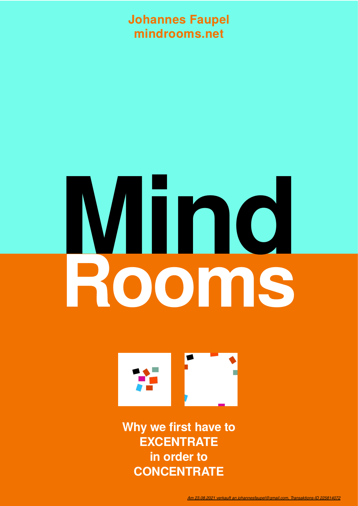#### **Johannes Faupel mindrooms.net**

# **Mind Rooms**



**Why we first have to EXCENTRATE in order to CONCENTRATE**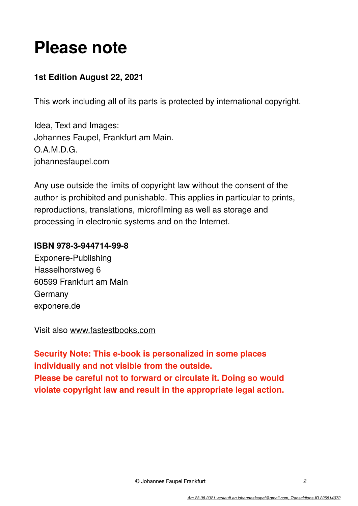## **Please note**

#### **1st Edition August 22, 2021**

This work including all of its parts is protected by international copyright.

Idea, Text and Images: Johannes Faupel, Frankfurt am Main. O.A.M.D.G. johannesfaupel.com

Any use outside the limits of copyright law without the consent of the author is prohibited and punishable. This applies in particular to prints, reproductions, translations, microfilming as well as storage and processing in electronic systems and on the Internet.

#### **ISBN 978-3-944714-99-8**

Exponere-Publishing Hasselhorstweg 6 60599 Frankfurt am Main Germany [exponere.de](http://exponere.de)

Visit also [www.fastestbooks.com](http://www.fastestbooks.com)

**Security Note: This e-book is personalized in some places individually and not visible from the outside. Please be careful not to forward or circulate it. Doing so would violate copyright law and result in the appropriate legal action.**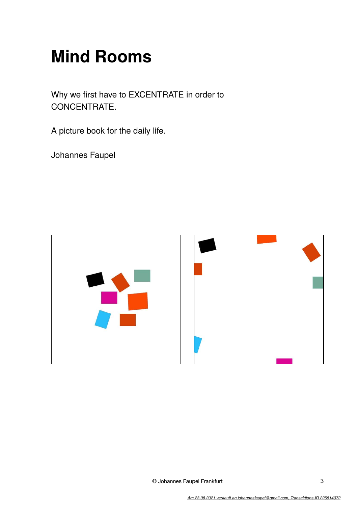## **Mind Rooms**

Why we first have to EXCENTRATE in order to CONCENTRATE.

A picture book for the daily life.

Johannes Faupel



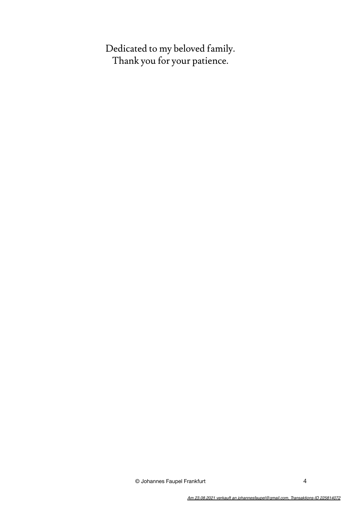Dedicated to my beloved family. Thank you for your patience.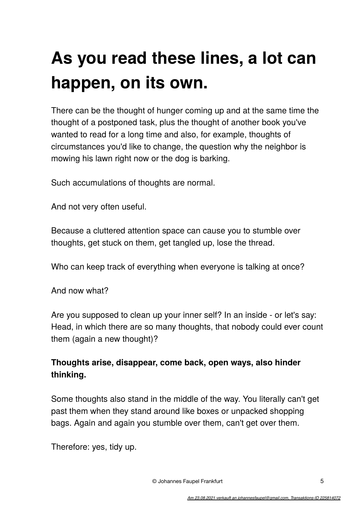## **As you read these lines, a lot can happen, on its own.**

There can be the thought of hunger coming up and at the same time the thought of a postponed task, plus the thought of another book you've wanted to read for a long time and also, for example, thoughts of circumstances you'd like to change, the question why the neighbor is mowing his lawn right now or the dog is barking.

Such accumulations of thoughts are normal.

And not very often useful.

Because a cluttered attention space can cause you to stumble over thoughts, get stuck on them, get tangled up, lose the thread.

Who can keep track of everything when everyone is talking at once?

And now what?

Are you supposed to clean up your inner self? In an inside - or let's say: Head, in which there are so many thoughts, that nobody could ever count them (again a new thought)?

#### **Thoughts arise, disappear, come back, open ways, also hinder thinking.**

Some thoughts also stand in the middle of the way. You literally can't get past them when they stand around like boxes or unpacked shopping bags. Again and again you stumble over them, can't get over them.

Therefore: yes, tidy up.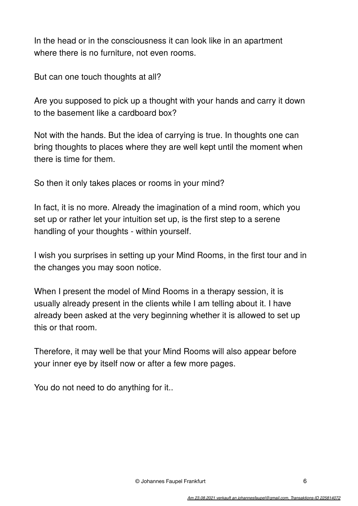In the head or in the consciousness it can look like in an apartment where there is no furniture, not even rooms.

But can one touch thoughts at all?

Are you supposed to pick up a thought with your hands and carry it down to the basement like a cardboard box?

Not with the hands. But the idea of carrying is true. In thoughts one can bring thoughts to places where they are well kept until the moment when there is time for them.

So then it only takes places or rooms in your mind?

In fact, it is no more. Already the imagination of a mind room, which you set up or rather let your intuition set up, is the first step to a serene handling of your thoughts - within yourself.

I wish you surprises in setting up your Mind Rooms, in the first tour and in the changes you may soon notice.

When I present the model of Mind Rooms in a therapy session, it is usually already present in the clients while I am telling about it. I have already been asked at the very beginning whether it is allowed to set up this or that room.

Therefore, it may well be that your Mind Rooms will also appear before your inner eye by itself now or after a few more pages.

You do not need to do anything for it..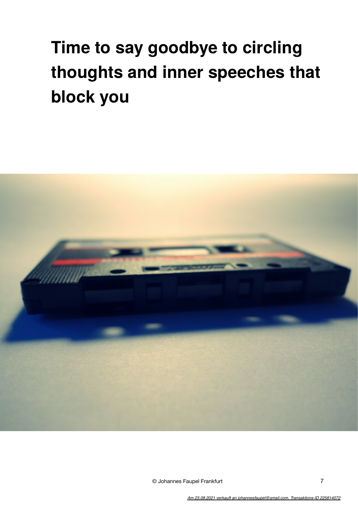## **Time to say goodbye to circling thoughts and inner speeches that block you**

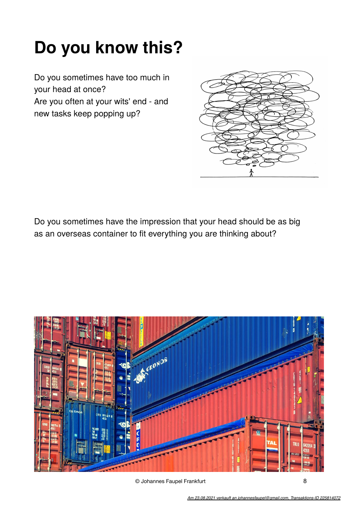## **Do you know this?**

Do you sometimes have too much in your head at once?

Are you often at your wits' end - and new tasks keep popping up?



Do you sometimes have the impression that your head should be as big as an overseas container to fit everything you are thinking about?

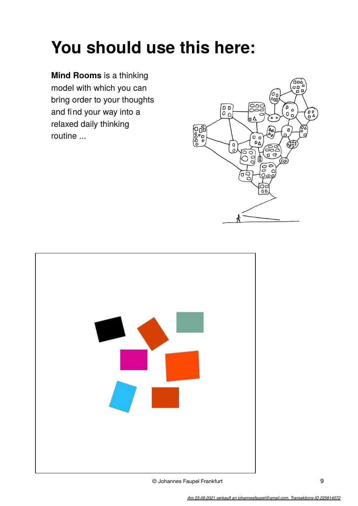## **You should use this here:**

**Mind Rooms** is a thinking model with which you can bring order to your thoughts and find your way into a relaxed daily thinking routine ...



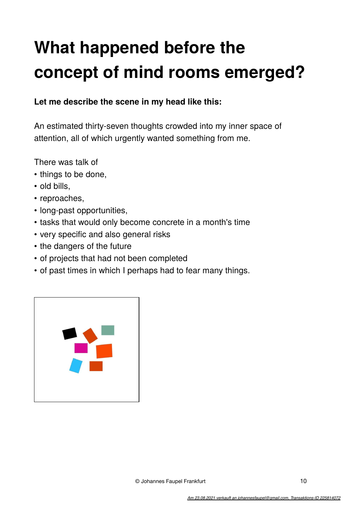## **What happened before the concept of mind rooms emerged?**

#### **Let me describe the scene in my head like this:**

An estimated thirty-seven thoughts crowded into my inner space of attention, all of which urgently wanted something from me.

There was talk of

- things to be done,
- old bills,
- reproaches,
- long-past opportunities,
- tasks that would only become concrete in a month's time
- very specific and also general risks
- the dangers of the future
- of projects that had not been completed
- of past times in which I perhaps had to fear many things.